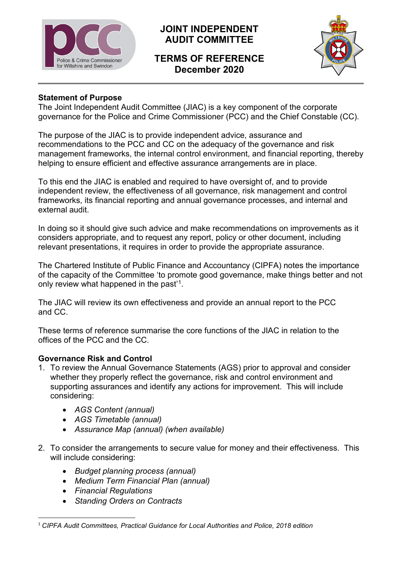

# **JOINT INDEPENDENT AUDIT COMMITTEE**

## **TERMS OF REFERENCE December 2020**



## **Statement of Purpose**

The Joint Independent Audit Committee (JIAC) is a key component of the corporate governance for the Police and Crime Commissioner (PCC) and the Chief Constable (CC).

The purpose of the JIAC is to provide independent advice, assurance and recommendations to the PCC and CC on the adequacy of the governance and risk management frameworks, the internal control environment, and financial reporting, thereby helping to ensure efficient and effective assurance arrangements are in place.

To this end the JIAC is enabled and required to have oversight of, and to provide independent review, the effectiveness of all governance, risk management and control frameworks, its financial reporting and annual governance processes, and internal and external audit.

In doing so it should give such advice and make recommendations on improvements as it considers appropriate, and to request any report, policy or other document, including relevant presentations, it requires in order to provide the appropriate assurance.

The Chartered Institute of Public Finance and Accountancy (CIPFA) notes the importance of the capacity of the Committee 'to promote good governance, make things better and not only review what happened in the past'<sup>[1](#page-0-0)</sup>.

The JIAC will review its own effectiveness and provide an annual report to the PCC and CC.

These terms of reference summarise the core functions of the JIAC in relation to the offices of the PCC and the CC.

## **Governance Risk and Control**

- 1. To review the Annual Governance Statements (AGS) prior to approval and consider whether they properly reflect the governance, risk and control environment and supporting assurances and identify any actions for improvement. This will include considering:
	- *AGS Content (annual)*
	- *AGS Timetable (annual)*
	- *Assurance Map (annual) (when available)*
- 2. To consider the arrangements to secure value for money and their effectiveness. This will include considering:
	- *Budget planning process (annual)*
	- *Medium Term Financial Plan (annual)*
	- *Financial Regulations*
	- *Standing Orders on Contracts*

<span id="page-0-0"></span><sup>1</sup> *CIPFA Audit Committees, Practical Guidance for Local Authorities and Police, 2018 edition*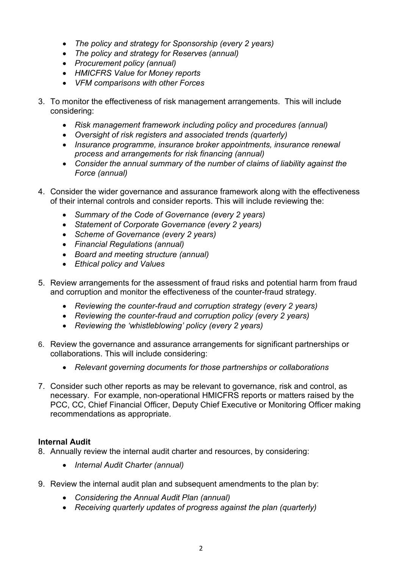- *The policy and strategy for Sponsorship (every 2 years)*
- *The policy and strategy for Reserves (annual)*
- *Procurement policy (annual)*
- *HMICFRS Value for Money reports*
- *VFM comparisons with other Forces*
- 3. To monitor the effectiveness of risk management arrangements. This will include considering:
	- *Risk management framework including policy and procedures (annual)*
	- *Oversight of risk registers and associated trends (quarterly)*
	- *Insurance programme, insurance broker appointments, insurance renewal process and arrangements for risk financing (annual)*
	- *Consider the annual summary of the number of claims of liability against the Force (annual)*
- 4. Consider the wider governance and assurance framework along with the effectiveness of their internal controls and consider reports. This will include reviewing the:
	- *Summary of the Code of Governance (every 2 years)*
	- *Statement of Corporate Governance (every 2 years)*
	- *Scheme of Governance (every 2 years)*
	- *Financial Regulations (annual)*
	- *Board and meeting structure (annual)*
	- *Ethical policy and Values*
- 5. Review arrangements for the assessment of fraud risks and potential harm from fraud and corruption and monitor the effectiveness of the counter-fraud strategy.
	- *Reviewing the counter-fraud and corruption strategy (every 2 years)*
	- *Reviewing the counter-fraud and corruption policy (every 2 years)*
	- *Reviewing the 'whistleblowing' policy (every 2 years)*
- 6. Review the governance and assurance arrangements for significant partnerships or collaborations. This will include considering:
	- *Relevant governing documents for those partnerships or collaborations*
- 7. Consider such other reports as may be relevant to governance, risk and control, as necessary. For example, non-operational HMICFRS reports or matters raised by the PCC, CC, Chief Financial Officer, Deputy Chief Executive or Monitoring Officer making recommendations as appropriate.

## **Internal Audit**

- 8. Annually review the internal audit charter and resources, by considering:
	- *Internal Audit Charter (annual)*
- 9. Review the internal audit plan and subsequent amendments to the plan by:
	- *Considering the Annual Audit Plan (annual)*
	- *Receiving quarterly updates of progress against the plan (quarterly)*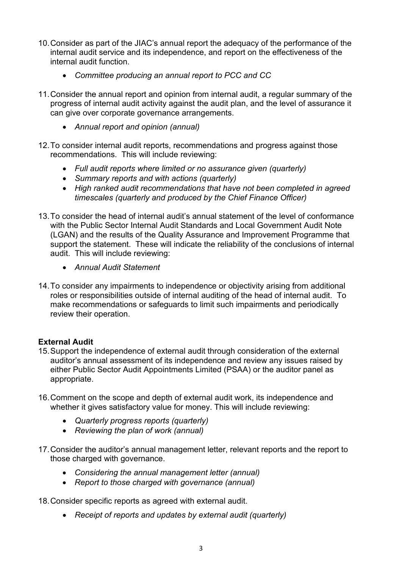- 10.Consider as part of the JIAC's annual report the adequacy of the performance of the internal audit service and its independence, and report on the effectiveness of the internal audit function.
	- *Committee producing an annual report to PCC and CC*
- 11.Consider the annual report and opinion from internal audit, a regular summary of the progress of internal audit activity against the audit plan, and the level of assurance it can give over corporate governance arrangements.
	- *Annual report and opinion (annual)*
- 12.To consider internal audit reports, recommendations and progress against those recommendations. This will include reviewing:
	- *Full audit reports where limited or no assurance given (quarterly)*
	- *Summary reports and with actions (quarterly)*
	- *High ranked audit recommendations that have not been completed in agreed timescales (quarterly and produced by the Chief Finance Officer)*
- 13.To consider the head of internal audit's annual statement of the level of conformance with the Public Sector Internal Audit Standards and Local Government Audit Note (LGAN) and the results of the Quality Assurance and Improvement Programme that support the statement. These will indicate the reliability of the conclusions of internal audit. This will include reviewing:
	- *Annual Audit Statement*
- 14.To consider any impairments to independence or objectivity arising from additional roles or responsibilities outside of internal auditing of the head of internal audit. To make recommendations or safeguards to limit such impairments and periodically review their operation.

## **External Audit**

- 15.Support the independence of external audit through consideration of the external auditor's annual assessment of its independence and review any issues raised by either Public Sector Audit Appointments Limited (PSAA) or the auditor panel as appropriate.
- 16.Comment on the scope and depth of external audit work, its independence and whether it gives satisfactory value for money. This will include reviewing:
	- *Quarterly progress reports (quarterly)*
	- *Reviewing the plan of work (annual)*
- 17.Consider the auditor's annual management letter, relevant reports and the report to those charged with governance.
	- *Considering the annual management letter (annual)*
	- *Report to those charged with governance (annual)*
- 18.Consider specific reports as agreed with external audit.
	- *Receipt of reports and updates by external audit (quarterly)*